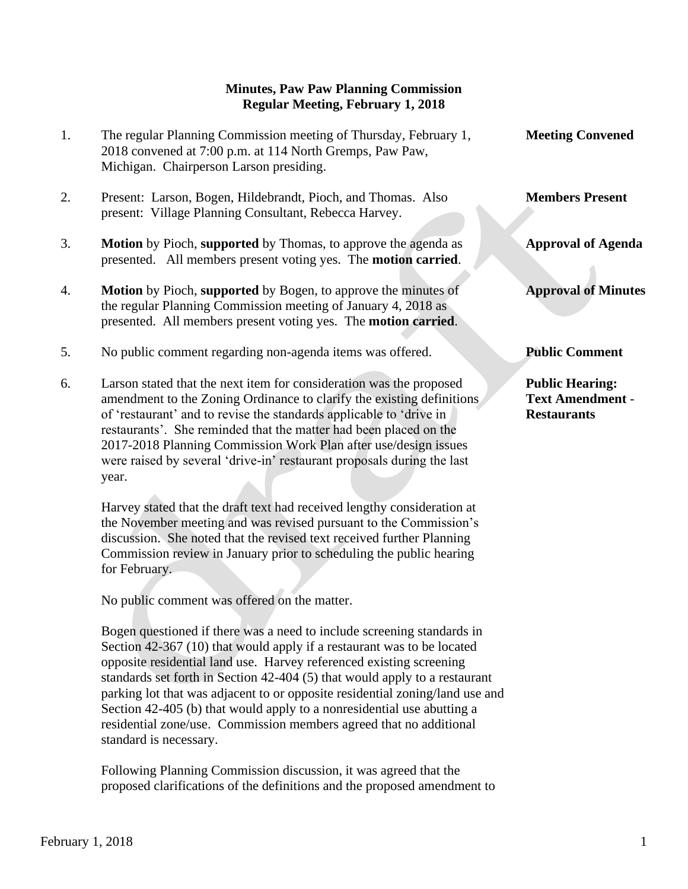## **Minutes, Paw Paw Planning Commission Regular Meeting, February 1, 2018**

- 1. The regular Planning Commission meeting of Thursday, February 1, **Meeting Convened** 2018 convened at 7:00 p.m. at 114 North Gremps, Paw Paw, Michigan. Chairperson Larson presiding.
- 2. Present: Larson, Bogen, Hildebrandt, Pioch, and Thomas. Also **Members Present** present: Village Planning Consultant, Rebecca Harvey.
- 3. **Motion** by Pioch, **supported** by Thomas, to approve the agenda as **Approval of Agenda** presented. All members present voting yes. The **motion carried**.
- 4. **Motion** by Pioch, **supported** by Bogen, to approve the minutes of **Approval of Minutes** the regular Planning Commission meeting of January 4, 2018 as presented. All members present voting yes. The **motion carried**.
- 5. No public comment regarding non-agenda items was offered. **Public Comment**
- 6. Larson stated that the next item for consideration was the proposed **Public Hearing:** amendment to the Zoning Ordinance to clarify the existing definitions **Text Amendment** of 'restaurant' and to revise the standards applicable to 'drive in **Restaurants** restaurants'. She reminded that the matter had been placed on the 2017-2018 Planning Commission Work Plan after use/design issues were raised by several 'drive-in' restaurant proposals during the last year.

 Harvey stated that the draft text had received lengthy consideration at the November meeting and was revised pursuant to the Commission's discussion. She noted that the revised text received further Planning Commission review in January prior to scheduling the public hearing for February.

No public comment was offered on the matter.

 Bogen questioned if there was a need to include screening standards in Section 42-367 (10) that would apply if a restaurant was to be located opposite residential land use. Harvey referenced existing screening standards set forth in Section 42-404 (5) that would apply to a restaurant parking lot that was adjacent to or opposite residential zoning/land use and Section 42-405 (b) that would apply to a nonresidential use abutting a residential zone/use. Commission members agreed that no additional standard is necessary.

 Following Planning Commission discussion, it was agreed that the proposed clarifications of the definitions and the proposed amendment to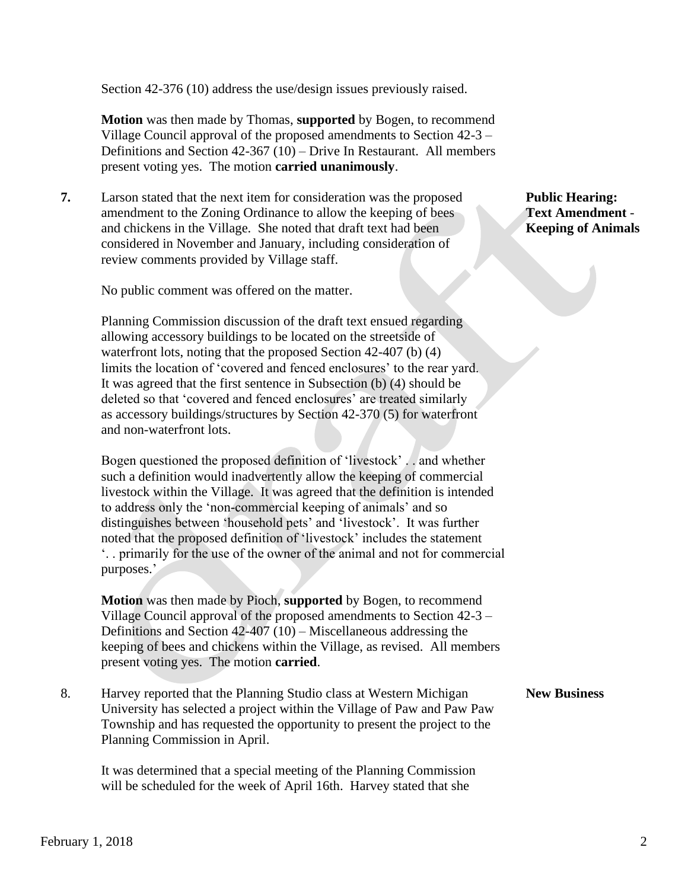Section 42-376 (10) address the use/design issues previously raised.

 **Motion** was then made by Thomas, **supported** by Bogen, to recommend Village Council approval of the proposed amendments to Section 42-3 – Definitions and Section 42-367 (10) – Drive In Restaurant. All members present voting yes. The motion **carried unanimously**.

**7.** Larson stated that the next item for consideration was the proposed **Public Hearing:** amendment to the Zoning Ordinance to allow the keeping of bees **Text Amendment** and chickens in the Village. She noted that draft text had been **Keeping of Animals**  considered in November and January, including consideration of review comments provided by Village staff.

No public comment was offered on the matter.

 Planning Commission discussion of the draft text ensued regarding allowing accessory buildings to be located on the streetside of waterfront lots, noting that the proposed Section 42-407 (b) (4) limits the location of 'covered and fenced enclosures' to the rear yard. It was agreed that the first sentence in Subsection (b) (4) should be deleted so that 'covered and fenced enclosures' are treated similarly as accessory buildings/structures by Section 42-370 (5) for waterfront and non-waterfront lots.

 Bogen questioned the proposed definition of 'livestock' . . and whether such a definition would inadvertently allow the keeping of commercial livestock within the Village. It was agreed that the definition is intended to address only the 'non-commercial keeping of animals' and so distinguishes between 'household pets' and 'livestock'. It was further noted that the proposed definition of 'livestock' includes the statement '. . primarily for the use of the owner of the animal and not for commercial purposes.'

 **Motion** was then made by Pioch, **supported** by Bogen, to recommend Village Council approval of the proposed amendments to Section 42-3 – Definitions and Section 42-407 (10) – Miscellaneous addressing the keeping of bees and chickens within the Village, as revised. All members present voting yes. The motion **carried**.

8. Harvey reported that the Planning Studio class at Western Michigan **New Business** University has selected a project within the Village of Paw and Paw Paw Township and has requested the opportunity to present the project to the Planning Commission in April.

It was determined that a special meeting of the Planning Commission will be scheduled for the week of April 16th. Harvey stated that she